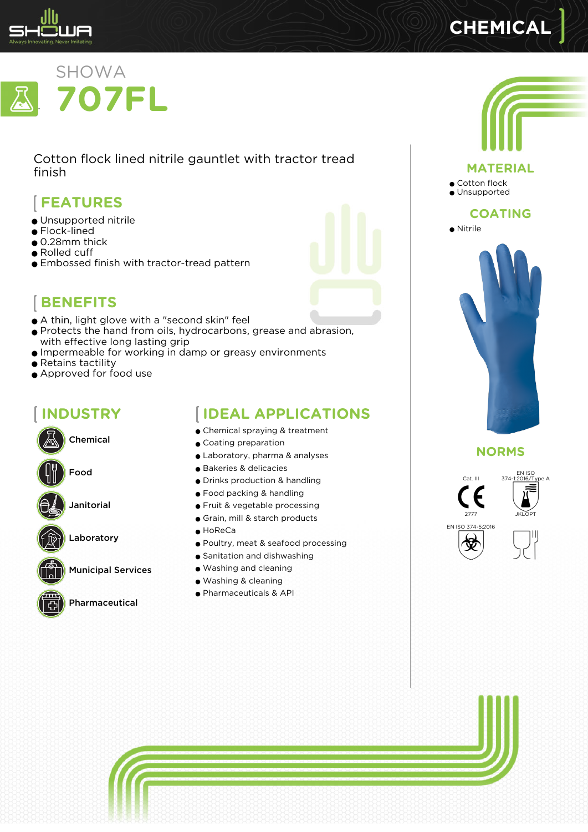

# **CHEMICAL**



Cotton flock lined nitrile gauntlet with tractor tread finish

# **FEATURES**

- Unsupported nitrile
- Flock-lined
- 0.28mm thick
- Rolled cuff
- Embossed finish with tractor-tread pattern



## **BENEFITS**

- A thin, light glove with a "second skin" feel
- Protects the hand from oils, hydrocarbons, grease and abrasion, with effective long lasting grip
- Impermeable for working in damp or greasy environments
- Retains tactility
- Approved for food use

# **INDUSTRY**



Janitorial

Laboratory





Pharmaceutical

# **IDEAL APPLICATIONS**

- Chemical spraying & treatment
- Coating preparation
- Laboratory, pharma & analyses
- Bakeries & delicacies
- Drinks production & handling
- Food packing & handling
- Fruit & vegetable processing
- Grain, mill & starch products
- $\bullet$  HoReCa
- Poultry, meat & seafood processing
- Sanitation and dishwashing
- Washing and cleaning
- Washing & cleaning
- Pharmaceuticals & API



**NORMS**